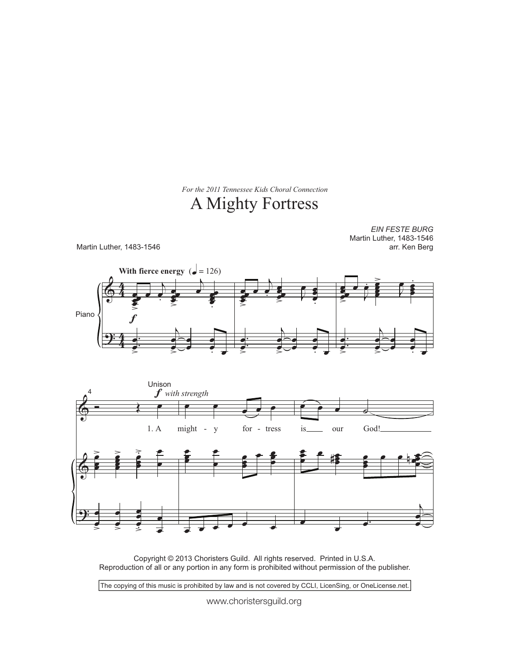For the 2011 Tennessee Kids Choral Connection

## A Mighty Fortress

**EIN FESTE BURG** Martin Luther, 1483-1546 Martin Luther, 1483-1546 arr. Ken Berg With fierce energy ( $\bullet$  = 126) Piano Unison  $f$  with strength  $1. A$ might for - tress God!  $\overline{y}$ our  $\overline{\phantom{a}}$ is

Copyright © 2013 Choristers Guild. All rights reserved. Printed in U.S.A.<br>Reproduction of all or any portion in any form is prohibited without permission of the publisher.

The copying of this music is prohibited by law and is not covered by CCLI, LicenSing, or OneLicense.net.

www.choristersguild.org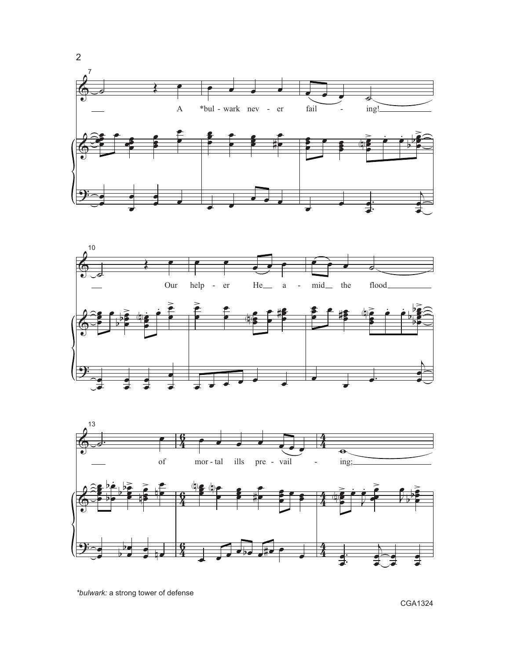





\*bulwark: a strong tower of defense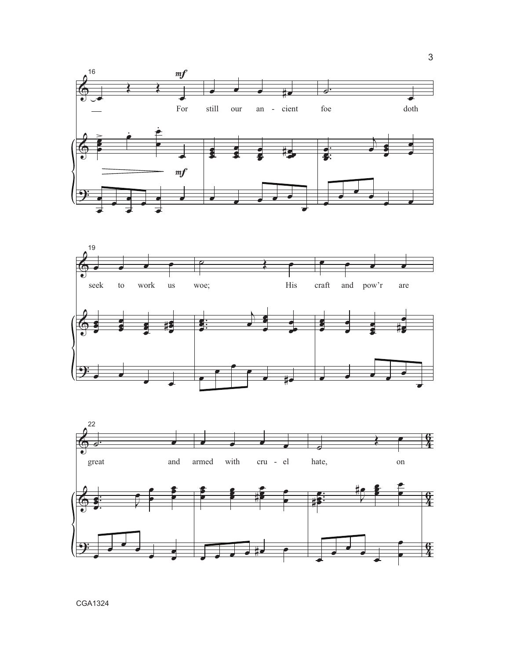



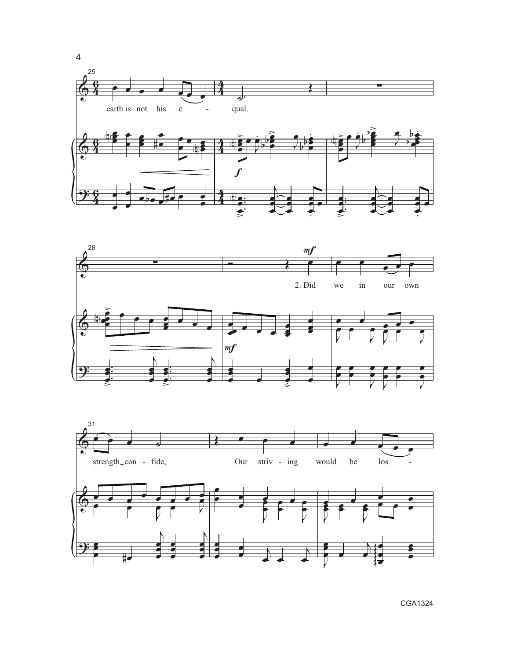



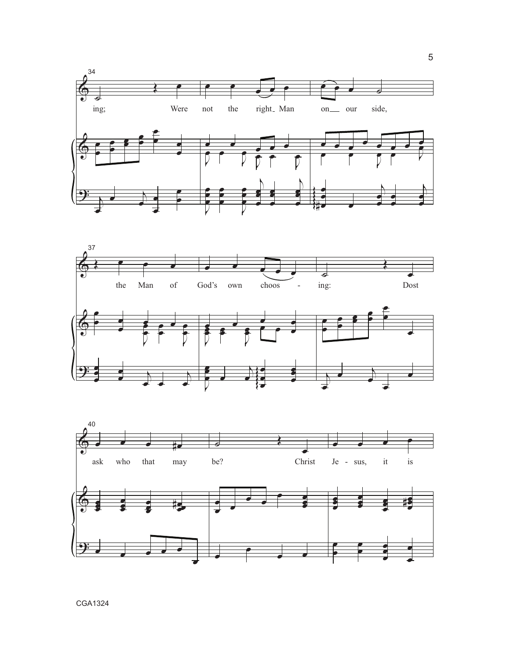